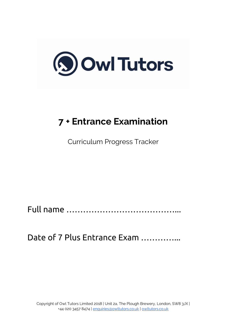

# **7 + Entrance Examination**

Curriculum Progress Tracker

Full name …………………………………...

Date of 7 Plus Entrance Exam ...............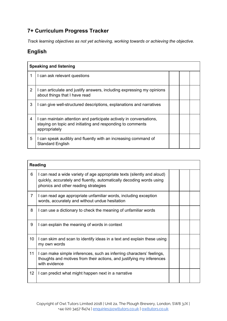## **7+ Curriculum Progress Tracker**

*Track learning objectives as not yet achieving, working towards or achieving the objective.*

# **English**

|   | <b>Speaking and listening</b>                                                                                                                      |  |  |  |  |
|---|----------------------------------------------------------------------------------------------------------------------------------------------------|--|--|--|--|
|   | I can ask relevant questions                                                                                                                       |  |  |  |  |
| 2 | I can articulate and justify answers, including expressing my opinions<br>about things that I have read                                            |  |  |  |  |
| 3 | I can give well-structured descriptions, explanations and narratives                                                                               |  |  |  |  |
| 4 | I can maintain attention and participate actively in conversations,<br>staying on topic and initiating and responding to comments<br>appropriately |  |  |  |  |
| 5 | I can speak audibly and fluently with an increasing command of<br><b>Standard English</b>                                                          |  |  |  |  |

|                | <b>Reading</b>                                                                                                                                                                          |  |  |
|----------------|-----------------------------------------------------------------------------------------------------------------------------------------------------------------------------------------|--|--|
| 6              | I can read a wide variety of age appropriate texts (silently and aloud)<br>quickly, accurately and fluently, automatically decoding words using<br>phonics and other reading strategies |  |  |
| $\overline{7}$ | I can read age appropriate unfamiliar words, including exception<br>words, accurately and without undue hesitation                                                                      |  |  |
| 8              | I can use a dictionary to check the meaning of unfamiliar words                                                                                                                         |  |  |
| 9              | I can explain the meaning of words in context                                                                                                                                           |  |  |
| 10             | I can skim and scan to identify ideas in a text and explain these using<br>my own words                                                                                                 |  |  |
| 11             | I can make simple inferences, such as inferring characters' feelings,<br>thoughts and motives from their actions, and justifying my inferences<br>with evidence                         |  |  |
| 12             | I can predict what might happen next in a narrative                                                                                                                                     |  |  |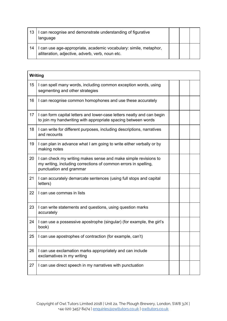| 13 | can recognise and demonstrate understanding of figurative<br>language                                               |  |  |
|----|---------------------------------------------------------------------------------------------------------------------|--|--|
| 14 | can use age-appropriate, academic vocabulary: simile, metaphor,<br>alliteration, adjective, adverb, verb, noun etc. |  |  |

|    | Writing                                                                                                                                                       |  |  |  |
|----|---------------------------------------------------------------------------------------------------------------------------------------------------------------|--|--|--|
| 15 | I can spell many words, including common exception words, using<br>segmenting and other strategies                                                            |  |  |  |
| 16 | I can recognise common homophones and use these accurately                                                                                                    |  |  |  |
| 17 | I can form capital letters and lower-case letters neatly and can begin<br>to join my handwriting with appropriate spacing between words                       |  |  |  |
| 18 | I can write for different purposes, including descriptions, narratives<br>and recounts                                                                        |  |  |  |
| 19 | I can plan in advance what I am going to write either verbally or by<br>making notes                                                                          |  |  |  |
| 20 | I can check my writing makes sense and make simple revisions to<br>my writing, including corrections of common errors in spelling,<br>punctuation and grammar |  |  |  |
| 21 | I can accurately demarcate sentences (using full stops and capital<br>letters)                                                                                |  |  |  |
| 22 | I can use commas in lists                                                                                                                                     |  |  |  |
| 23 | I can write statements and questions, using question marks<br>accurately                                                                                      |  |  |  |
| 24 | I can use a possessive apostrophe (singular) (for example, the girl's<br>book)                                                                                |  |  |  |
| 25 | I can use apostrophes of contraction (for example, can't)                                                                                                     |  |  |  |
| 26 | I can use exclamation marks appropriately and can include<br>exclamatives in my writing                                                                       |  |  |  |
| 27 | I can use direct speech in my narratives with punctuation                                                                                                     |  |  |  |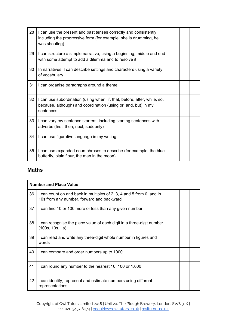| 28 | I can use the present and past tenses correctly and consistently<br>including the progressive form (for example, she is drumming, he<br>was shouting)   |  |  |
|----|---------------------------------------------------------------------------------------------------------------------------------------------------------|--|--|
| 29 | I can structure a simple narrative, using a beginning, middle and end<br>with some attempt to add a dilemma and to resolve it                           |  |  |
| 30 | In narratives, I can describe settings and characters using a variety<br>of vocabulary                                                                  |  |  |
| 31 | I can organise paragraphs around a theme                                                                                                                |  |  |
| 32 | I can use subordination (using when, if, that, before, after, while, so,<br>because, although) and coordination (using or, and, but) in my<br>sentences |  |  |
| 33 | I can vary my sentence starters, including starting sentences with<br>adverbs (first, then, next, suddenly)                                             |  |  |
| 34 | I can use figurative language in my writing                                                                                                             |  |  |
| 35 | I can use expanded noun phrases to describe (for example, the blue<br>butterfly, plain flour, the man in the moon)                                      |  |  |

#### **Maths**

|    | <b>Number and Place Value</b>                                                                                     |  |  |  |
|----|-------------------------------------------------------------------------------------------------------------------|--|--|--|
| 36 | I can count on and back in multiples of 2, 3, 4 and 5 from 0, and in<br>10s from any number, forward and backward |  |  |  |
| 37 | I can find 10 or 100 more or less than any given number                                                           |  |  |  |
| 38 | I can recognise the place value of each digit in a three-digit number<br>(100s, 10s, 1s)                          |  |  |  |
| 39 | I can read and write any three-digit whole number in figures and<br>words                                         |  |  |  |
| 40 | I can compare and order numbers up to 1000                                                                        |  |  |  |
| 41 | I can round any number to the nearest 10, 100 or 1,000                                                            |  |  |  |
| 42 | I can identify, represent and estimate numbers using different<br>representations                                 |  |  |  |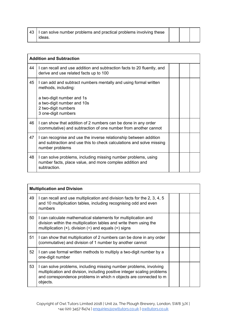| 43 | I can solve number problems and practical problems involving these |  |  |
|----|--------------------------------------------------------------------|--|--|
|    | ideas.                                                             |  |  |

|    | <b>Addition and Subtraction</b>                                                                                                                              |  |  |
|----|--------------------------------------------------------------------------------------------------------------------------------------------------------------|--|--|
| 44 | I can recall and use addition and subtraction facts to 20 fluently, and<br>derive and use related facts up to 100                                            |  |  |
| 45 | I can add and subtract numbers mentally and using formal written<br>methods, including:<br>a two-digit number and 1s<br>a two-digit number and 10s           |  |  |
|    | 2 two-digit numbers<br>3 one-digit numbers                                                                                                                   |  |  |
| 46 | I can show that addition of 2 numbers can be done in any order<br>(commutative) and subtraction of one number from another cannot                            |  |  |
| 47 | I can recognise and use the inverse relationship between addition<br>and subtraction and use this to check calculations and solve missing<br>number problems |  |  |
| 48 | I can solve problems, including missing number problems, using<br>number facts, place value, and more complex addition and<br>subtraction.                   |  |  |

|    | <b>Multiplication and Division</b>                                                                                                                                                                                              |  |  |  |
|----|---------------------------------------------------------------------------------------------------------------------------------------------------------------------------------------------------------------------------------|--|--|--|
| 49 | I can recall and use multiplication and division facts for the 2, 3, 4, 5<br>and 10 multiplication tables, including recognising odd and even<br>numbers                                                                        |  |  |  |
| 50 | I can calculate mathematical statements for multiplication and<br>division within the multiplication tables and write them using the<br>multiplication $(x)$ , division $(+)$ and equals $(=)$ signs                            |  |  |  |
| 51 | I can show that multiplication of 2 numbers can be done in any order<br>commutative) and division of 1 number by another cannot                                                                                                 |  |  |  |
| 52 | I can use formal written methods to multiply a two-digit number by a<br>one-digit number                                                                                                                                        |  |  |  |
| 53 | I can solve problems, including missing number problems, involving<br>multiplication and division, including positive integer scaling problems<br>and correspondence problems in which n objects are connected to m<br>objects. |  |  |  |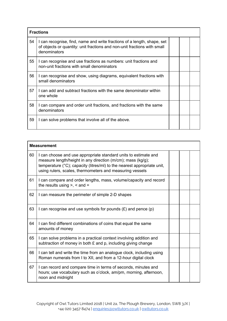|    | <b>Fractions</b>                                                                                                                                                    |  |  |  |
|----|---------------------------------------------------------------------------------------------------------------------------------------------------------------------|--|--|--|
| 54 | I can recognise, find, name and write fractions of a length, shape, set<br>of objects or quantity: unit fractions and non-unit fractions with small<br>denominators |  |  |  |
| 55 | I can recognise and use fractions as numbers: unit fractions and<br>non-unit fractions with small denominators                                                      |  |  |  |
| 56 | I can recognise and show, using diagrams, equivalent fractions with<br>small denominators                                                                           |  |  |  |
| 57 | I can add and subtract fractions with the same denominator within<br>one whole                                                                                      |  |  |  |
| 58 | I can compare and order unit fractions, and fractions with the same<br>denominators                                                                                 |  |  |  |
| 59 | I can solve problems that involve all of the above.                                                                                                                 |  |  |  |

|    | <b>Measurement</b>                                                                                                                                                                                                                                                    |  |  |
|----|-----------------------------------------------------------------------------------------------------------------------------------------------------------------------------------------------------------------------------------------------------------------------|--|--|
| 60 | I can choose and use appropriate standard units to estimate and<br>measure length/height in any direction (m/cm); mass (kg/g);<br>temperature (°C); capacity (litres/ml) to the nearest appropriate unit,<br>using rulers, scales, thermometers and measuring vessels |  |  |
| 61 | I can compare and order lengths, mass, volume/capacity and record<br>the results using $>$ , $<$ and $=$                                                                                                                                                              |  |  |
| 62 | I can measure the perimeter of simple 2-D shapes                                                                                                                                                                                                                      |  |  |
| 63 | I can recognise and use symbols for pounds $(E)$ and pence $(p)$                                                                                                                                                                                                      |  |  |
| 64 | I can find different combinations of coins that equal the same<br>amounts of money                                                                                                                                                                                    |  |  |
| 65 | I can solve problems in a practical context involving addition and<br>subtraction of money in both £ and p, including giving change                                                                                                                                   |  |  |
| 66 | I can tell and write the time from an analogue clock, including using<br>Roman numerals from I to XII, and from a 12-hour digital clock                                                                                                                               |  |  |
| 67 | I can record and compare time in terms of seconds, minutes and<br>hours; use vocabulary such as o'clock, am/pm, morning, afternoon,<br>noon and midnight                                                                                                              |  |  |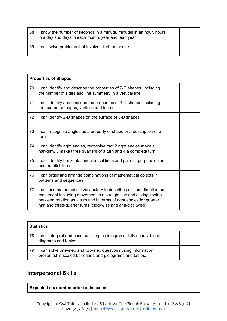| 68 | I know the number of seconds in a minute, minutes in an hour, hours<br>in a day and days in each month, year and leap year |  |  |
|----|----------------------------------------------------------------------------------------------------------------------------|--|--|
| 69 | I can solve problems that involve all of the above.                                                                        |  |  |

| <b>Properties of Shapes</b> |                                                                                                                                                                                                                                                                                    |  |  |  |
|-----------------------------|------------------------------------------------------------------------------------------------------------------------------------------------------------------------------------------------------------------------------------------------------------------------------------|--|--|--|
| 70                          | I can identify and describe the properties of 2-D shapes, including<br>the number of sides and line symmetry in a vertical line                                                                                                                                                    |  |  |  |
| 71                          | I can identify and describe the properties of 3-D shapes, including<br>the number of edges, vertices and faces                                                                                                                                                                     |  |  |  |
| 72                          | I can identify 2-D shapes on the surface of 3-D shapes                                                                                                                                                                                                                             |  |  |  |
| 73                          | I can recognise angles as a property of shape or a description of a<br>turn                                                                                                                                                                                                        |  |  |  |
| 74                          | I can identify right angles, recognise that 2 right angles make a<br>half-turn, 3 make three quarters of a turn and 4 a complete turn                                                                                                                                              |  |  |  |
| 75                          | I can identify horizontal and vertical lines and pairs of perpendicular<br>and parallel lines                                                                                                                                                                                      |  |  |  |
| 76                          | I can order and arrange combinations of mathematical objects in<br>patterns and sequences                                                                                                                                                                                          |  |  |  |
| 77                          | I can use mathematical vocabulary to describe position, direction and<br>movement including movement in a straight line and distinguishing<br>between rotation as a turn and in terms of right angles for quarter,<br>half and three-quarter turns (clockwise and anti-clockwise). |  |  |  |

| <b>Statistics</b> |                                                                                                                            |  |  |  |
|-------------------|----------------------------------------------------------------------------------------------------------------------------|--|--|--|
| 78                | I can interpret and construct simple pictograms, tally charts, block<br>diagrams and tables                                |  |  |  |
| 79                | I can solve one-step and two-step questions using information<br>presented in scaled bar charts and pictograms and tables. |  |  |  |

## **Interpersonal Skills**

**Expected six months prior to the exam**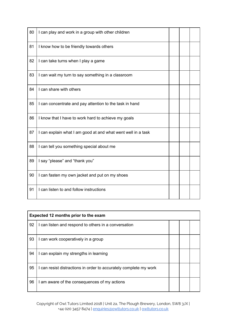| 80 | I can play and work in a group with other children           |  |  |
|----|--------------------------------------------------------------|--|--|
| 81 | I know how to be friendly towards others                     |  |  |
| 82 | I can take turns when I play a game                          |  |  |
| 83 | I can wait my turn to say something in a classroom           |  |  |
| 84 | I can share with others                                      |  |  |
| 85 | I can concentrate and pay attention to the task in hand      |  |  |
| 86 | I know that I have to work hard to achieve my goals          |  |  |
| 87 | I can explain what I am good at and what went well in a task |  |  |
| 88 | I can tell you something special about me                    |  |  |
| 89 | I say "please" and "thank you"                               |  |  |
| 90 | I can fasten my own jacket and put on my shoes               |  |  |
| 91 | I can listen to and follow instructions                      |  |  |

| Expected 12 months prior to the exam |                                                                   |  |  |  |
|--------------------------------------|-------------------------------------------------------------------|--|--|--|
| 92                                   | I can listen and respond to others in a conversation              |  |  |  |
| 93                                   | I can work cooperatively in a group                               |  |  |  |
| 94                                   | I can explain my strengths in learning                            |  |  |  |
| 95                                   | I can resist distractions in order to accurately complete my work |  |  |  |
| 96                                   | I am aware of the consequences of my actions                      |  |  |  |

Copyright of Owl Tutors Limited 2018 | Unit 2a, The Plough Brewery, London, SW8 3JX | +44 020 3457 8474 | [enquiries@owltutors.co.uk](mailto:enquiries@owltutors.co.uk) | [owltutors.co.uk](https://owltutors.co.uk/)